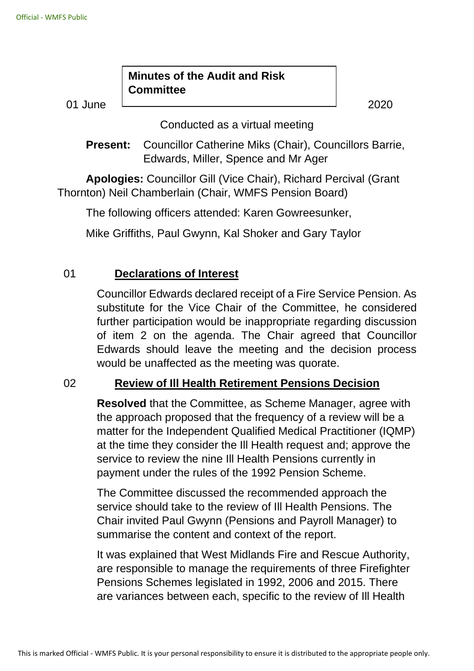#### **Minutes of the Audit and Risk Committee**

01 June 2020

Conducted as a virtual meeting

**Present:** Councillor Catherine Miks (Chair), Councillors Barrie, Edwards, Miller, Spence and Mr Ager

**Apologies:** Councillor Gill (Vice Chair), Richard Percival (Grant Thornton) Neil Chamberlain (Chair, WMFS Pension Board)

The following officers attended: Karen Gowreesunker,

Mike Griffiths, Paul Gwynn, Kal Shoker and Gary Taylor

# 01 **Declarations of Interest**

Councillor Edwards declared receipt of a Fire Service Pension. As substitute for the Vice Chair of the Committee, he considered further participation would be inappropriate regarding discussion of item 2 on the agenda. The Chair agreed that Councillor Edwards should leave the meeting and the decision process would be unaffected as the meeting was quorate.

#### 02 **Review of Ill Health Retirement Pensions Decision**

**Resolved** that the Committee, as Scheme Manager, agree with the approach proposed that the frequency of a review will be a matter for the Independent Qualified Medical Practitioner (IQMP) at the time they consider the Ill Health request and; approve the service to review the nine Ill Health Pensions currently in payment under the rules of the 1992 Pension Scheme.

The Committee discussed the recommended approach the service should take to the review of Ill Health Pensions. The Chair invited Paul Gwynn (Pensions and Payroll Manager) to summarise the content and context of the report.

It was explained that West Midlands Fire and Rescue Authority, are responsible to manage the requirements of three Firefighter Pensions Schemes legislated in 1992, 2006 and 2015. There are variances between each, specific to the review of Ill Health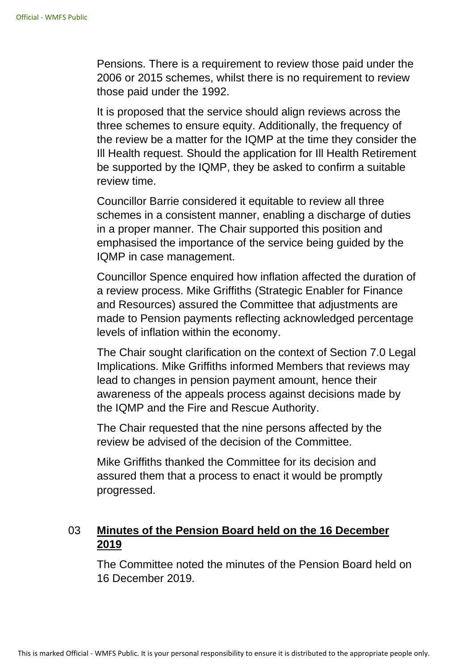Pensions. There is a requirement to review those paid under the 2006 or 2015 schemes, whilst there is no requirement to review those paid under the 1992.

It is proposed that the service should align reviews across the three schemes to ensure equity. Additionally, the frequency of the review be a matter for the IQMP at the time they consider the Ill Health request. Should the application for Ill Health Retirement be supported by the IQMP, they be asked to confirm a suitable review time.

Councillor Barrie considered it equitable to review all three schemes in a consistent manner, enabling a discharge of duties in a proper manner. The Chair supported this position and emphasised the importance of the service being guided by the IQMP in case management.

Councillor Spence enquired how inflation affected the duration of a review process. Mike Griffiths (Strategic Enabler for Finance and Resources) assured the Committee that adjustments are made to Pension payments reflecting acknowledged percentage levels of inflation within the economy.

The Chair sought clarification on the context of Section 7.0 Legal Implications. Mike Griffiths informed Members that reviews may lead to changes in pension payment amount, hence their awareness of the appeals process against decisions made by the IQMP and the Fire and Rescue Authority.

The Chair requested that the nine persons affected by the review be advised of the decision of the Committee.

Mike Griffiths thanked the Committee for its decision and assured them that a process to enact it would be promptly progressed.

# 03 **Minutes of the Pension Board held on the 16 December 2019**

The Committee noted the minutes of the Pension Board held on 16 December 2019.